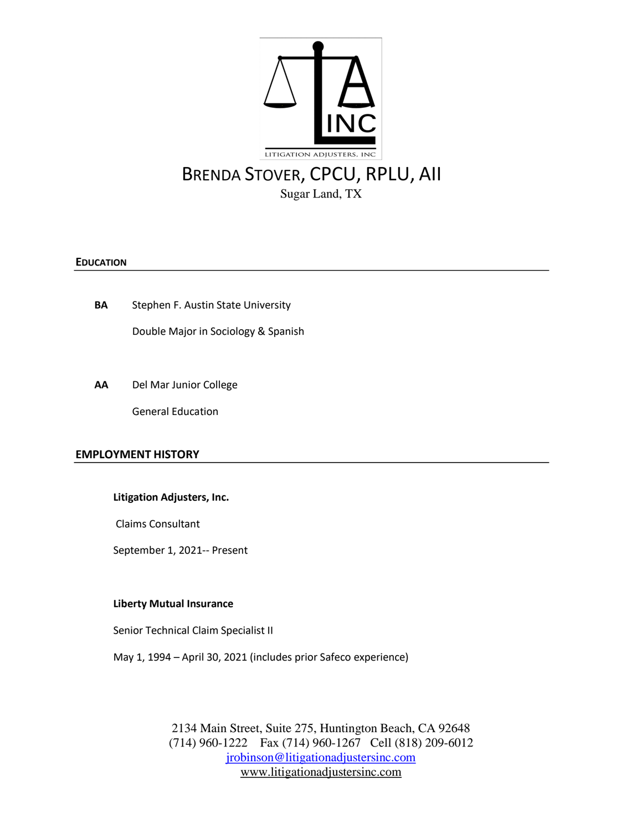

# **EDUCATION**

**BA** Stephen F. Austin State University

Double Major in Sociology & Spanish

**AA** Del Mar Junior College

General Education

### **EMPLOYMENT HISTORY**

### **Litigation Adjusters, Inc.**

Claims Consultant

September 1, 2021-- Present

### **Liberty Mutual Insurance**

Senior Technical Claim Specialist II

May 1, 1994 – April 30, 2021 (includes prior Safeco experience)

2134 Main Street, Suite 275, Huntington Beach, CA 92648 (714) 960-1222 Fax (714) 960-1267 Cell (818) 209-6012 [jrobinson@litigationadjustersinc.com](mailto:jrobinson@litigationadjustersinc.com) www.litigationadjustersinc.com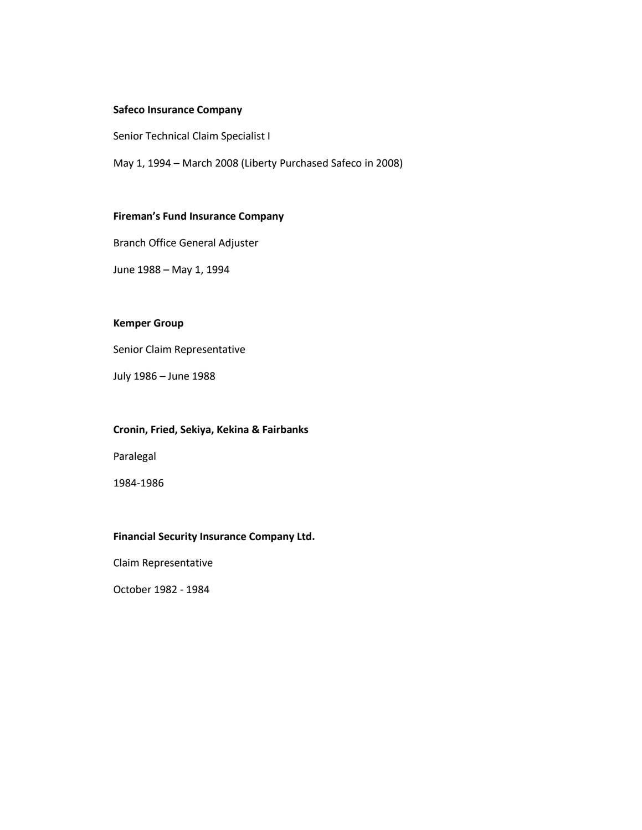# **Safeco Insurance Company**

Senior Technical Claim Specialist I

May 1, 1994 – March 2008 (Liberty Purchased Safeco in 2008)

## **Fireman's Fund Insurance Company**

Branch Office General Adjuster

June 1988 – May 1, 1994

# **Kemper Group**

Senior Claim Representative

July 1986 – June 1988

## **Cronin, Fried, Sekiya, Kekina & Fairbanks**

Paralegal

1984-1986

## **Financial Security Insurance Company Ltd.**

Claim Representative

October 1982 - 1984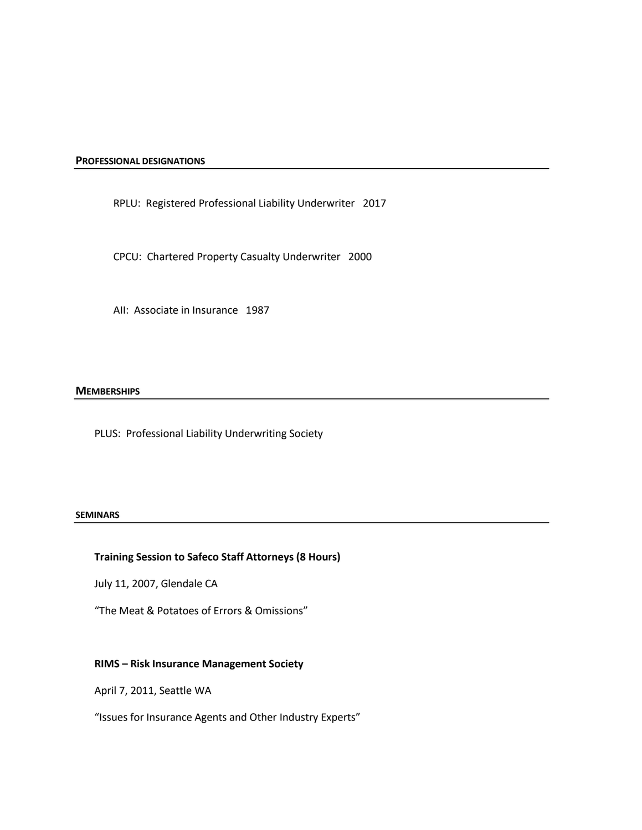**PROFESSIONAL DESIGNATIONS**

RPLU: Registered Professional Liability Underwriter 2017

CPCU: Chartered Property Casualty Underwriter 2000

AII: Associate in Insurance 1987

#### **MEMBERSHIPS**

PLUS: Professional Liability Underwriting Society

#### **SEMINARS**

# **Training Session to Safeco Staff Attorneys (8 Hours)**

July 11, 2007, Glendale CA

"The Meat & Potatoes of Errors & Omissions"

#### **RIMS – Risk Insurance Management Society**

April 7, 2011, Seattle WA

"Issues for Insurance Agents and Other Industry Experts"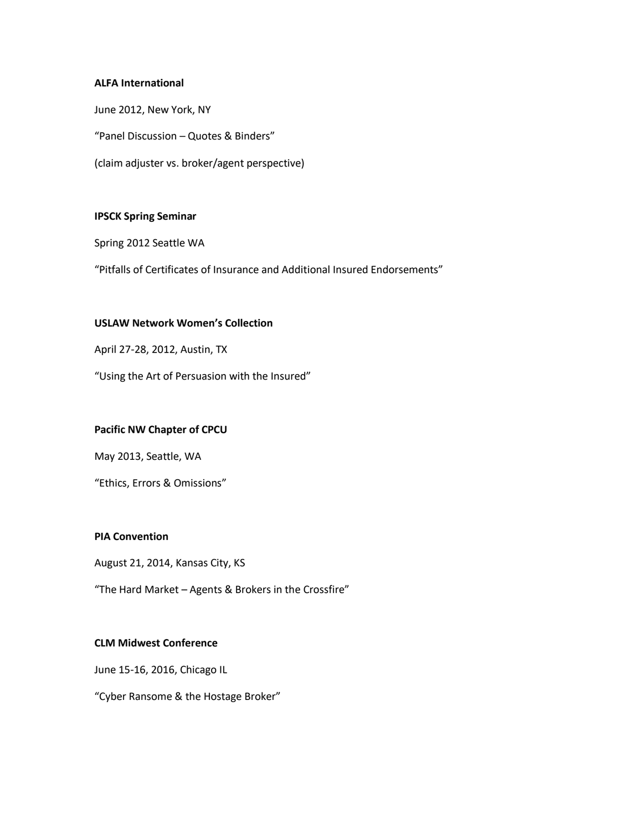# **ALFA International**

June 2012, New York, NY "Panel Discussion – Quotes & Binders" (claim adjuster vs. broker/agent perspective)

### **IPSCK Spring Seminar**

Spring 2012 Seattle WA

"Pitfalls of Certificates of Insurance and Additional Insured Endorsements"

# **USLAW Network Women's Collection**

April 27-28, 2012, Austin, TX

"Using the Art of Persuasion with the Insured"

### **Pacific NW Chapter of CPCU**

May 2013, Seattle, WA

"Ethics, Errors & Omissions"

## **PIA Convention**

August 21, 2014, Kansas City, KS

"The Hard Market – Agents & Brokers in the Crossfire"

## **CLM Midwest Conference**

June 15-16, 2016, Chicago IL

"Cyber Ransome & the Hostage Broker"